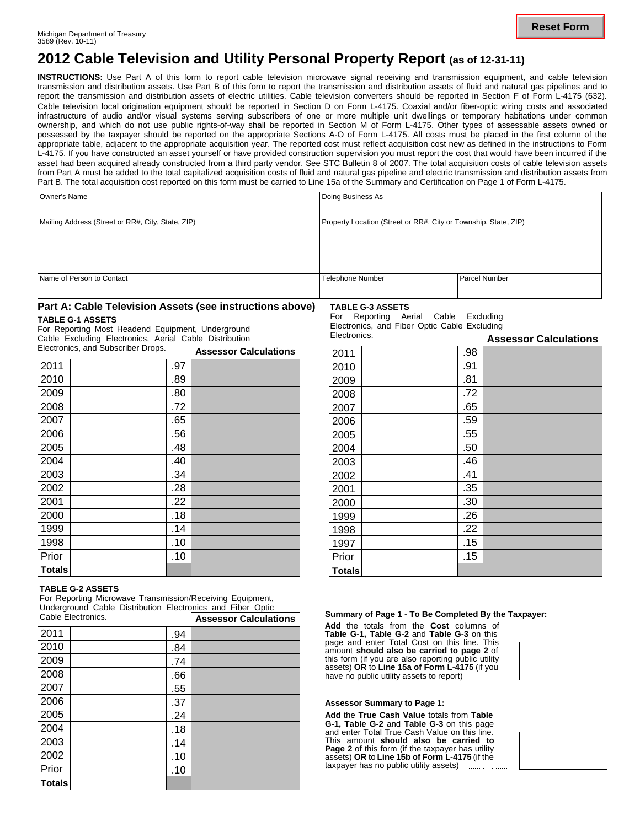## **2012 Cable Television and Utility Personal Property Report (as of 12-31-11)**

**INSTRUCTIONS:** Use Part A of this form to report cable television microwave signal receiving and transmission equipment, and cable television transmission and distribution assets. Use Part B of this form to report the transmission and distribution assets of fluid and natural gas pipelines and to report the transmission and distribution assets of electric utilities. Cable television converters should be reported in Section F of Form L-4175 (632)*.* Cable television local origination equipment should be reported in Section D on Form L-4175. Coaxial and/or fiber-optic wiring costs and associated infrastructure of audio and/or visual systems serving subscribers of one or more multiple unit dwellings or temporary habitations under common ownership, and which do not use public rights-of-way shall be reported in Section M of Form L-4175. Other types of assessable assets owned or possessed by the taxpayer should be reported on the appropriate Sections A-O of Form L-4175. All costs must be placed in the first column of the appropriate table, adjacent to the appropriate acquisition year. The reported cost must reflect acquisition cost new as defined in the instructions to Form L-4175. If you have constructed an asset yourself or have provided construction supervision you must report the cost that would have been incurred if the asset had been acquired already constructed from a third party vendor. See STC Bulletin 8 of 2007. The total acquisition costs of cable television assets from Part A must be added to the total capitalized acquisition costs of fluid and natural gas pipeline and electric transmission and distribution assets from Part B. The total acquisition cost reported on this form must be carried to Line 15a of the Summary and Certification on Page 1 of Form L-4175.

| Owner's Name                                      | Doing Business As                                               |               |
|---------------------------------------------------|-----------------------------------------------------------------|---------------|
| Mailing Address (Street or RR#, City, State, ZIP) | Property Location (Street or RR#, City or Township, State, ZIP) |               |
| Name of Person to Contact                         | <b>Telephone Number</b>                                         | Parcel Number |

#### **Part A: Cable Television Assets (see instructions above)**

#### **TABLE G-1 ASSETS**

For Reporting Most Headend Equipment, Underground Cable Excluding Electronics, Aerial Cable Distribution **Electronics, and Subscriber Drops. The Calculation Calculations** 

|               |  | <b>Assessor Calculations</b> |  |
|---------------|--|------------------------------|--|
| 2011          |  | .97                          |  |
| 2010          |  | .89                          |  |
| 2009          |  | .80                          |  |
| 2008          |  | .72                          |  |
| 2007          |  | .65                          |  |
| 2006          |  | .56                          |  |
| 2005          |  | .48                          |  |
| 2004          |  | .40                          |  |
| 2003          |  | .34                          |  |
| 2002          |  | .28                          |  |
| 2001          |  | .22                          |  |
| 2000          |  | .18                          |  |
| 1999          |  | .14                          |  |
| 1998          |  | .10                          |  |
| Prior         |  | .10                          |  |
| <b>Totals</b> |  |                              |  |

#### **TABLE G-2 ASSETS**

For Reporting Microwave Transmission/Receiving Equipment, Underground Cable Distribution Electronics and Fiber Optic

| Cable Electronics. |     | <b>Assessor Calculations</b> |
|--------------------|-----|------------------------------|
| 2011               | .94 |                              |
| 2010               | .84 |                              |
| 2009               | .74 |                              |
| 2008               | .66 |                              |
| 2007               | .55 |                              |
| 2006               | .37 |                              |
| 2005               | .24 |                              |
| 2004               | .18 |                              |
| 2003               | .14 |                              |
| 2002               | .10 |                              |
| Prior              | .10 |                              |
| <b>Totals</b>      |     |                              |

**TABLE G-3 ASSETS** For Reporting Aerial Cable Excluding

Electronics, and Fiber Optic Cable Excluding Electronics.

| Electronics.  |     | <b>Assessor Calculations</b> |
|---------------|-----|------------------------------|
| 2011          | .98 |                              |
| 2010          | .91 |                              |
| 2009          | .81 |                              |
| 2008          | .72 |                              |
| 2007          | .65 |                              |
| 2006          | .59 |                              |
| 2005          | .55 |                              |
| 2004          | .50 |                              |
| 2003          | .46 |                              |
| 2002          | .41 |                              |
| 2001          | .35 |                              |
| 2000          | .30 |                              |
| 1999          | .26 |                              |
| 1998          | .22 |                              |
| 1997          | .15 |                              |
| Prior         | .15 |                              |
| <b>Totals</b> |     |                              |

#### Cable Electronics. **Summary of Page 1 - To Be Completed By the Taxpayer:**

**Add** the totals from the **Cost** columns of **Table G-1, Table G-2** and **Table G-3** on this page and enter Total Cost on this line. This amount **should also be carried to page 2** of this form (if you are also reporting public utility assets) **OR** to **Line 15a of Form L-4175** (if you have no public utility assets to report) ................

#### **Assessor Summary to Page 1:**

**Add** the **True Cash Value** totals from **Table G-1, Table G-2** and **Table G-3** on this page and enter Total True Cash Value on this line. This amount **should also be carried to Page 2** of this form (if the taxpayer has utility assets) **OR** to **Line 15b of Form L-4175** (if the taxpayer has no public utility assets)